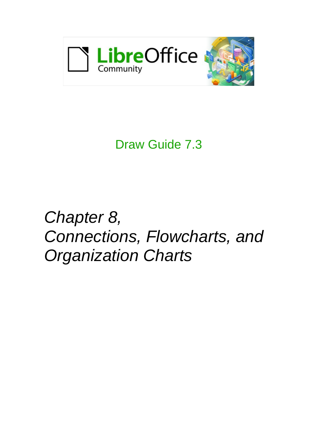

## Draw Guide 7.3

# *Chapter 8, Connections, Flowcharts, and Organization Charts*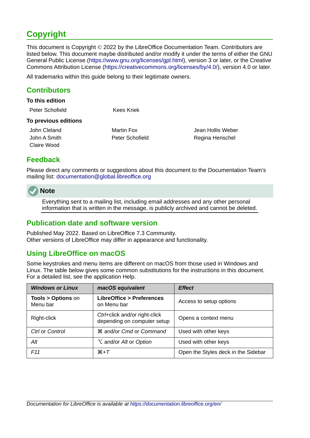## <span id="page-1-4"></span>**Copyright**

This document is Copyright © 2022 by the LibreOffice Documentation Team. Contributors are listed below. This document maybe distributed and/or modify it under the terms of either the GNU General Public License (<https://www.gnu.org/licenses/gpl.html>), version 3 or later, or the Creative Commons Attribution License (<https://creativecommons.org/licenses/by/4.0/>), version 4.0 or later.

All trademarks within this guide belong to their legitimate owners.

#### <span id="page-1-3"></span>**Contributors**

#### **To this edition**

Peter Schofield Kees Kriek

#### **To previous editions**

Claire Wood

John Cleland Martin Fox Jean Hollis Weber John A Smith Peter Schofield Regina Henschel

#### <span id="page-1-2"></span>**Feedback**

Please direct any comments or suggestions about this document to the Documentation Team's mailing list: [documentation@global.libreoffice.org](mailto:documentation@global.libreoffice.org)

#### **Note**

Everything sent to a mailing list, including email addresses and any other personal information that is written in the message, is publicly archived and cannot be deleted.

#### <span id="page-1-1"></span>**Publication date and software version**

Published May 2022. Based on LibreOffice 7.3 Community. Other versions of LibreOffice may differ in appearance and functionality.

#### <span id="page-1-0"></span>**Using LibreOffice on macOS**

Some keystrokes and menu items are different on macOS from those used in Windows and Linux. The table below gives some common substitutions for the instructions in this document. For a detailed list, see the application Help.

| <b>Windows or Linux</b>                  | macOS equivalent                                             | <b>Effect</b>                       |  |
|------------------------------------------|--------------------------------------------------------------|-------------------------------------|--|
| <b>Tools &gt; Options on</b><br>Menu bar | <b>LibreOffice &gt; Preferences</b><br>on Menu bar           | Access to setup options             |  |
| Right-click                              | Ctrl+click and/or right-click<br>depending on computer setup | Opens a context menu                |  |
| Ctrl or Control                          | <b>\%\</b> & and/or Cmd or Command                           | Used with other keys                |  |
| Alt                                      | <b>∠</b> and/or Alt or Option                                | Used with other keys                |  |
| F11                                      | $H+T$                                                        | Open the Styles deck in the Sidebar |  |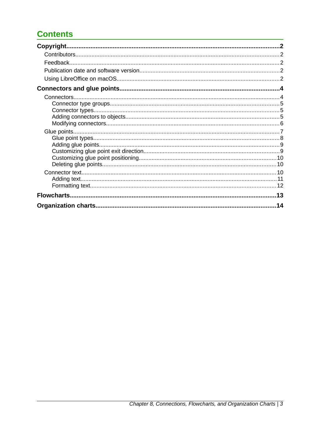## **Contents**

| 14 |
|----|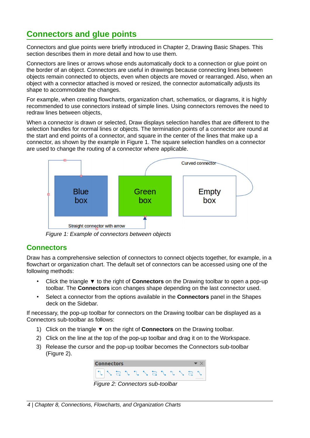## <span id="page-3-1"></span>**Connectors and glue points**

Connectors and glue points were briefly introduced in Chapter 2, Drawing Basic Shapes. This section describes them in more detail and how to use them.

Connectors are lines or arrows whose ends automatically dock to a connection or glue point on the border of an object. Connectors are useful in drawings because connecting lines between objects remain connected to objects, even when objects are moved or rearranged. Also, when an object with a connector attached is moved or resized, the connector automatically adjusts its shape to accommodate the changes.

For example, when creating flowcharts, organization chart, schematics, or diagrams, it is highly recommended to use connectors instead of simple lines. Using connectors removes the need to redraw lines between objects,

When a connector is drawn or selected, Draw displays selection handles that are different to the selection handles for normal lines or objects. The termination points of a connector are round at the start and end points of a connector, and square in the center of the lines that make up a connector, as shown by the example in Figure [1](#page-3-2). The square selection handles on a connector are used to change the routing of a connector where applicable.



<span id="page-3-2"></span>*Figure 1: Example of connectors between objects*

#### <span id="page-3-0"></span>**Connectors**

Draw has a comprehensive selection of connectors to connect objects together, for example, in a flowchart or organization chart. The default set of connectors can be accessed using one of the following methods:

- Click the triangle ▼ to the right of **Connectors** on the Drawing toolbar to open a pop-up toolbar. The **Connectors** icon changes shape depending on the last connector used.
- Select a connector from the options available in the **Connectors** panel in the Shapes deck on the Sidebar.

If necessary, the pop-up toolbar for connectors on the Drawing toolbar can be displayed as a Connectors sub-toolbar as follows:

- 1) Click on the triangle ▼ on the right of **Connectors** on the Drawing toolbar.
- 2) Click on the line at the top of the pop-up toolbar and drag it on to the Workspace.
- 3) Release the cursor and the pop-up toolbar becomes the Connectors sub-toolbar (Figure [2](#page-3-3)).

<span id="page-3-3"></span>

*Figure 2: Connectors sub-toolbar*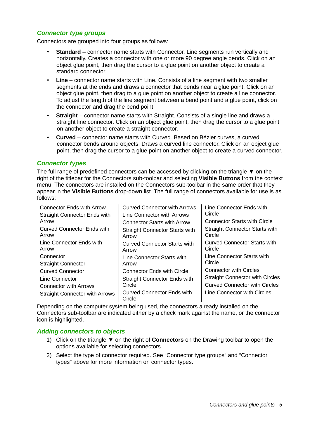#### <span id="page-4-2"></span>*Connector type groups*

Connectors are grouped into four groups as follows:

- **Standard** connector name starts with Connector. Line segments run vertically and horizontally. Creates a connector with one or more 90 degree angle bends. Click on an object glue point, then drag the cursor to a glue point on another object to create a standard connector.
- **Line** connector name starts with Line. Consists of a line segment with two smaller segments at the ends and draws a connector that bends near a glue point. Click on an object glue point, then drag to a glue point on another object to create a line connector. To adjust the length of the line segment between a bend point and a glue point, click on the connector and drag the bend point.
- **Straight** connector name starts with Straight. Consists of a single line and draws a straight line connector. Click on an object glue point, then drag the cursor to a glue point on another object to create a straight connector.
- **Curved** connector name starts with Curved. Based on Bézier curves, a curved connector bends around objects. Draws a curved line connector. Click on an object glue point, then drag the cursor to a glue point on another object to create a curved connector.

#### <span id="page-4-1"></span>*Connector types*

The full range of predefined connectors can be accessed by clicking on the triangle ▼ on the right of the titlebar for the Connectors sub-toolbar and selecting **Visible Buttons** from the context menu. The connectors are installed on the Connectors sub-toolbar in the same order that they appear in the **Visible Buttons** drop-down list. The full range of connectors available for use is as follows:

| <b>Connector Ends with Arrow</b>           | <b>Curved Connector with Arrows</b>            | Line Connector Ends with                        |
|--------------------------------------------|------------------------------------------------|-------------------------------------------------|
| <b>Straight Connector Ends with</b>        | Line Connector with Arrows                     | Circle                                          |
| Arrow                                      | <b>Connector Starts with Arrow</b>             | <b>Connector Starts with Circle</b>             |
| <b>Curved Connector Ends with</b><br>Arrow | <b>Straight Connector Starts with</b><br>Arrow | <b>Straight Connector Starts with</b><br>Circle |
| Line Connector Ends with<br>Arrow          | <b>Curved Connector Starts with</b><br>Arrow   | <b>Curved Connector Starts with</b><br>Circle   |
| Connector                                  | Line Connector Starts with                     | Line Connector Starts with                      |
| <b>Straight Connector</b>                  | Arrow                                          | Circle                                          |
| <b>Curved Connector</b>                    | <b>Connector Ends with Circle</b>              | <b>Connector with Circles</b>                   |
| Line Connector                             | <b>Straight Connector Ends with</b>            | <b>Straight Connector with Circles</b>          |
| <b>Connector with Arrows</b>               | Circle                                         | <b>Curved Connector with Circles</b>            |
| <b>Straight Connector with Arrows</b>      | <b>Curved Connector Ends with</b><br>Circle    | Line Connector with Circles                     |

Depending on the computer system being used, the connectors already installed on the Connectors sub-toolbar are indicated either by a check mark against the name, or the connector icon is highlighted.

#### <span id="page-4-0"></span>*Adding connectors to objects*

- 1) Click on the triangle ▼ on the right of **Connectors** on the Drawing toolbar to open the options available for selecting connectors.
- 2) Select the type of connector required. See "[Connector type groups](#page-4-2)" and ["Connector](#page-4-1)  [types](#page-4-1)" [above](#page-4-1) for more information on connector types.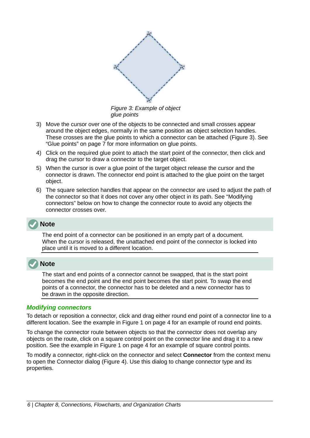<span id="page-5-1"></span>

*Figure 3: Example of object glue points*

- 3) Move the cursor over one of the objects to be connected and small crosses appear around the object edges, normally in the same position as object selection handles. These crosses are the glue points to which a connector can be attached (Figure [3](#page-5-1)). See ["Glue points](#page-6-0)" on page [7](#page-6-0) for more information on glue points.
- 4) Click on the required glue point to attach the start point of the connector, then click and drag the cursor to draw a connector to the target object.
- 5) When the cursor is over a glue point of the target object release the cursor and the connector is drawn. The connector end point is attached to the glue point on the target object.
- 6) The square selection handles that appear on the connector are used to adjust the path of the connector so that it does not cover any other object in its path. See ["Modifying](#page-5-0)  [connectors" below](#page-5-0) on how to change the connector route to avoid any objects the connector crosses over.

#### **Note**

The end point of a connector can be positioned in an empty part of a document. When the cursor is released, the unattached end point of the connector is locked into place until it is moved to a different location.

#### **Note**

The start and end points of a connector cannot be swapped, that is the start point becomes the end point and the end point becomes the start point. To swap the end points of a connector, the connector has to be deleted and a new connector has to be drawn in the opposite direction.

#### <span id="page-5-0"></span>*Modifying connectors*

To detach or reposition a connector, click and drag either round end point of a connector line to a different location. See the example in Figure [1](#page-3-2) on page [4](#page-3-2) for an example of round end points.

To change the connector route between objects so that the connector does not overlap any objects on the route, click on a square control point on the connector line and drag it to a new position. See the example in Figure [1](#page-3-2) on page [4](#page-3-2) for an example of square control points.

To modify a connector, right-click on the connector and select **Connector** from the context menu to open the Connector dialog (Figure [4](#page-6-1)). Use this dialog to change connector type and its properties.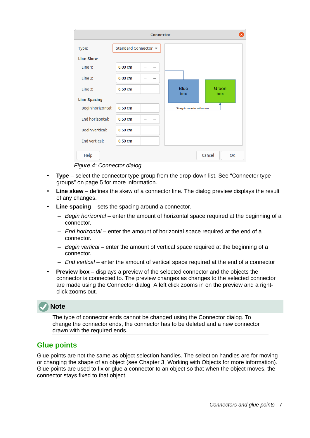| <b>Connector</b>    |                      |             |                               |              |  |
|---------------------|----------------------|-------------|-------------------------------|--------------|--|
| Type:               | Standard Connector ▼ |             |                               |              |  |
| <b>Line Skew</b>    |                      |             |                               |              |  |
| Line 1:             | 0.00cm               | $^{+}$      |                               |              |  |
| Line 2:             | 0.00cm               | $^{+}$      |                               |              |  |
| Line 3:             | $0.50$ cm            | $^{+}$<br>- | <b>Blue</b><br>box            | Green<br>box |  |
| <b>Line Spacing</b> |                      |             |                               |              |  |
| Begin horizontal:   | 0.50cm               | $^{+}$<br>— | Straight connector with arrow |              |  |
| End horizontal:     | $0.50$ cm            | $^{+}$<br>- |                               |              |  |
| Begin vertical:     | $0.50$ cm            | $^{+}$<br>- |                               |              |  |
| End vertical:       | $0.50$ cm            | $^{+}$      |                               |              |  |
| Help                |                      |             |                               | Cancel<br>OK |  |

<span id="page-6-1"></span>*Figure 4: Connector dialog*

- **Type** select the connector type group from the drop-down list. See "Connector type [groups](#page-4-2)" on page [5](#page-4-2) for more information.
- **Line skew** defines the skew of a connector line. The dialog preview displays the result of any changes.
- **Line spacing** sets the spacing around a connector.
	- *Begin horizontal* enter the amount of horizontal space required at the beginning of a connector.
	- *End horizontal* enter the amount of horizontal space required at the end of a connector.
	- *Begin vertical* enter the amount of vertical space required at the beginning of a connector.
	- *End vertical* enter the amount of vertical space required at the end of a connector
- **Preview box** displays a preview of the selected connector and the objects the connector is connected to. The preview changes as changes to the selected connector are made using the Connector dialog. A left click zooms in on the preview and a rightclick zooms out.

## **Note**

The type of connector ends cannot be changed using the Connector dialog. To change the connector ends, the connector has to be deleted and a new connector drawn with the required ends.

#### <span id="page-6-0"></span>**Glue points**

Glue points are not the same as object selection handles. The selection handles are for moving or changing the shape of an object (see Chapter 3, Working with Objects for more information). Glue points are used to fix or glue a connector to an object so that when the object moves, the connector stays fixed to that object.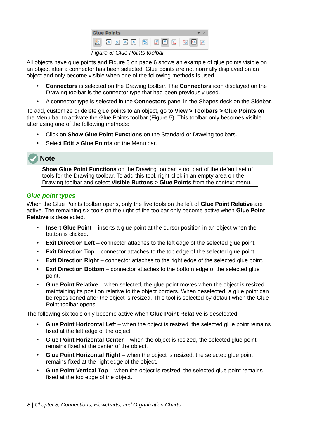| <b>Glue Points</b>                                                                                                                                                                                                                                                                                                                                                                                                                                                                        |  |  |
|-------------------------------------------------------------------------------------------------------------------------------------------------------------------------------------------------------------------------------------------------------------------------------------------------------------------------------------------------------------------------------------------------------------------------------------------------------------------------------------------|--|--|
| $\boxed{\textbf{1} \quad \textbf{2} \quad \textbf{3} \quad \textbf{4} \quad \textbf{5} \quad \textbf{5} \quad \textbf{6} \quad \textbf{7} \quad \textbf{8} \quad \textbf{9} \quad \textbf{1} \quad \textbf{1} \quad \textbf{1} \quad \textbf{1} \quad \textbf{1} \quad \textbf{1} \quad \textbf{1} \quad \textbf{1} \quad \textbf{1} \quad \textbf{1} \quad \textbf{1} \quad \textbf{1} \quad \textbf{1} \quad \textbf{1} \quad \textbf{1} \quad \textbf{1} \quad \textbf{1} \quad \text$ |  |  |
| Figure Et Clup Dointe toolbox                                                                                                                                                                                                                                                                                                                                                                                                                                                             |  |  |

<span id="page-7-1"></span>*Figure 5: Glue Points toolbar*

All objects have glue points and Figure [3](#page-5-1) on page [6](#page-5-1) shows an example of glue points visible on an object after a connector has been selected. Glue points are not normally displayed on an object and only become visible when one of the following methods is used.

- **Connectors** is selected on the Drawing toolbar. The **Connectors** icon displayed on the Drawing toolbar is the connector type that had been previously used.
- A connector type is selected in the **Connectors** panel in the Shapes deck on the Sidebar.

To add, customize or delete glue points to an object, go to **View > Toolbars > Glue Points** on the Menu bar to activate the Glue Points toolbar (Figure [5](#page-7-1)). This toolbar only becomes visible after using one of the following methods:

- Click on **Show Glue Point Functions** on the Standard or Drawing toolbars.
- Select **Edit > Glue Points** on the Menu bar.

#### **Note**

**Show Glue Point Functions** on the Drawing toolbar is not part of the default set of tools for the Drawing toolbar. To add this tool, right-click in an empty area on the Drawing toolbar and select **Visible Buttons > Glue Points** from the context menu.

#### <span id="page-7-0"></span>*Glue point types*

When the Glue Points toolbar opens, only the five tools on the left of **Glue Point Relative** are active. The remaining six tools on the right of the toolbar only become active when **Glue Point Relative** is deselected.

- **Insert Glue Point** inserts a glue point at the cursor position in an object when the button is clicked.
- **Exit Direction Left** connector attaches to the left edge of the selected glue point.
- **Exit Direction Top** connector attaches to the top edge of the selected glue point.
- **Exit Direction Right** connector attaches to the right edge of the selected glue point.
- **Exit Direction Bottom** connector attaches to the bottom edge of the selected glue point.
- **Glue Point Relative** when selected, the glue point moves when the object is resized maintaining its position relative to the object borders. When deselected, a glue point can be repositioned after the object is resized. This tool is selected by default when the Glue Point toolbar opens.

The following six tools only become active when **Glue Point Relative** is deselected.

- **Glue Point Horizontal Left** when the object is resized, the selected glue point remains fixed at the left edge of the object.
- **Glue Point Horizontal Center** when the object is resized, the selected glue point remains fixed at the center of the object.
- **Glue Point Horizontal Right** when the object is resized, the selected glue point remains fixed at the right edge of the object.
- **Glue Point Vertical Top** when the object is resized, the selected glue point remains fixed at the top edge of the object.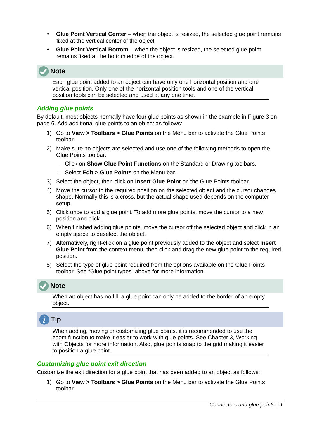- **Glue Point Vertical Center** when the object is resized, the selected glue point remains fixed at the vertical center of the object.
- **Glue Point Vertical Bottom** when the object is resized, the selected glue point remains fixed at the bottom edge of the object.

## **Note**

Each glue point added to an object can have only one horizontal position and one vertical position. Only one of the horizontal position tools and one of the vertical position tools can be selected and used at any one time.

#### <span id="page-8-1"></span>*Adding glue points*

By default, most objects normally have four glue points as shown in the example in Figure [3](#page-5-1) on page [6.](#page-5-1) Add additional glue points to an object as follows:

- 1) Go to **View > Toolbars > Glue Points** on the Menu bar to activate the Glue Points toolbar.
- 2) Make sure no objects are selected and use one of the following methods to open the Glue Points toolbar:
	- Click on **Show Glue Point Functions** on the Standard or Drawing toolbars.
	- Select **Edit > Glue Points** on the Menu bar.
- 3) Select the object, then click on **Insert Glue Point** on the Glue Points toolbar.
- 4) Move the cursor to the required position on the selected object and the cursor changes shape. Normally this is a cross, but the actual shape used depends on the computer setup.
- 5) Click once to add a glue point. To add more glue points, move the cursor to a new position and click.
- 6) When finished adding glue points, move the cursor off the selected object and click in an empty space to deselect the object.
- 7) Alternatively, right-click on a glue point previously added to the object and select **Insert Glue Point** from the context menu, then click and drag the new glue point to the required position.
- 8) Select the type of glue point required from the options available on the Glue Points toolbar. See ["Glue point types" above](#page-7-0) for more information.

## **Note**

When an object has no fill, a glue point can only be added to the border of an empty object.

## **Tip**

When adding, moving or customizing glue points, it is recommended to use the zoom function to make it easier to work with glue points. See Chapter 3, Working with Objects for more information. Also, glue points snap to the grid making it easier to position a glue point.

#### <span id="page-8-0"></span>*Customizing glue point exit direction*

Customize the exit direction for a glue point that has been added to an object as follows:

1) Go to **View > Toolbars > Glue Points** on the Menu bar to activate the Glue Points toolbar.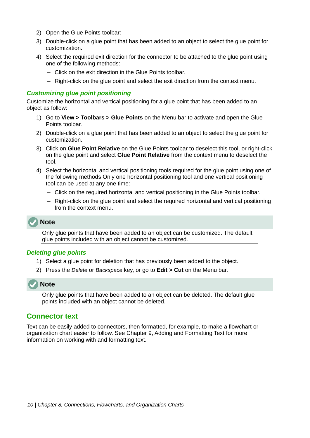- 2) Open the Glue Points toolbar:
- 3) Double-click on a glue point that has been added to an object to select the glue point for customization.
- 4) Select the required exit direction for the connector to be attached to the glue point using one of the following methods:
	- Click on the exit direction in the Glue Points toolbar.
	- Right-click on the glue point and select the exit direction from the context menu.

#### <span id="page-9-2"></span>*Customizing glue point positioning*

Customize the horizontal and vertical positioning for a glue point that has been added to an object as follow:

- 1) Go to **View > Toolbars > Glue Points** on the Menu bar to activate and open the Glue Points toolbar.
- 2) Double-click on a glue point that has been added to an object to select the glue point for customization.
- 3) Click on **Glue Point Relative** on the Glue Points toolbar to deselect this tool, or right-click on the glue point and select **Glue Point Relative** from the context menu to deselect the tool.
- 4) Select the horizontal and vertical positioning tools required for the glue point using one of the following methods Only one horizontal positioning tool and one vertical positioning tool can be used at any one time:
	- Click on the required horizontal and vertical positioning in the Glue Points toolbar.
	- Right-click on the glue point and select the required horizontal and vertical positioning from the context menu.

#### **Note**

Only glue points that have been added to an object can be customized. The default glue points included with an object cannot be customized.

#### <span id="page-9-1"></span>*Deleting glue points*

- 1) Select a glue point for deletion that has previously been added to the object.
- 2) Press the *Delete* or *Backspace* key, or go to **Edit > Cut** on the Menu bar.



Only glue points that have been added to an object can be deleted. The default glue points included with an object cannot be deleted.

#### <span id="page-9-0"></span>**Connector text**

Text can be easily added to connectors, then formatted, for example, to make a flowchart or organization chart easier to follow. See Chapter 9, Adding and Formatting Text for more information on working with and formatting text.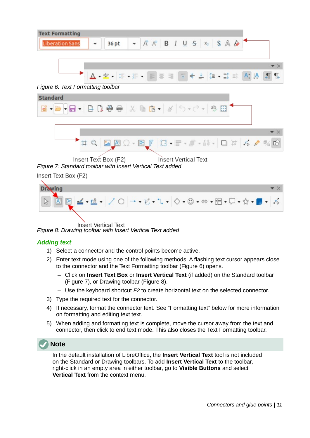

怎.

<span id="page-10-3"></span>*Figure 6: Text Formatting toolbar*

| <b>Standard</b> |  |                                      |  |  |
|-----------------|--|--------------------------------------|--|--|
|                 |  |                                      |  |  |
|                 |  |                                      |  |  |
|                 |  |                                      |  |  |
|                 |  | <b>HQ REQ-RF B-F-F-M- ON 6 / % 0</b> |  |  |

<span id="page-10-2"></span>Insert Text Box (F2) Insert Vertical Text *Figure 7: Standard toolbar with Insert Vertical Text added*

Insert Text Box (F2)



Insert Vertical Text *Figure 8: Drawing toolbar with Insert Vertical Text added*

#### <span id="page-10-1"></span><span id="page-10-0"></span>*Adding text*

- 1) Select a connector and the control points become active.
- 2) Enter text mode using one of the following methods. A flashing text cursor appears close to the connector and the Text Formatting toolbar (Figure [6\)](#page-10-3) opens.
	- Click on **Insert Text Box** or **Insert Vertical Text** (if added) on the Standard toolbar (Figure [7\)](#page-10-2), or Drawing toolbar (Figure [8](#page-10-1)).
	- Use the keyboard shortcut *F2* to create horizontal text on the selected connector.
- 3) Type the required text for the connector.
- 4) If necessary, format the connector text. See ["Formatting text" below](#page-11-0) for more information on formatting and editing text text.
- 5) When adding and formatting text is complete, move the cursor away from the text and connector, then click to end text mode. This also closes the Text Formatting toolbar.



**Note**

In the default installation of LibreOffice, the **Insert Vertical Text** tool is not included on the Standard or Drawing toolbars. To add **Insert Vertical Text** to the toolbar, right-click in an empty area in either toolbar, go to **Visible Buttons** and select **Vertical Text** from the context menu.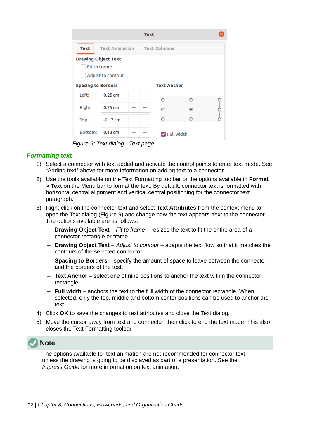|                                                                        |                       |  | <b>Text</b>        |                            |
|------------------------------------------------------------------------|-----------------------|--|--------------------|----------------------------|
| <b>Text</b>                                                            | <b>Text Animation</b> |  |                    | <b>Text Columns</b>        |
| <b>Drawing Object Text</b><br><b>Fit to frame</b><br>Adjust to contour |                       |  |                    |                            |
| <b>Spacing to Borders</b>                                              |                       |  | <b>Text Anchor</b> |                            |
| Left:                                                                  | $0.25$ cm             |  | $^{+}$             |                            |
| Right:                                                                 | $0.25$ cm             |  | $\hspace{0.1mm} +$ | ◉                          |
| Top:                                                                   | $-0.17$ cm            |  | $^{+}$             |                            |
| Bottom:                                                                | $0.13$ cm             |  | $^+$               | $\triangledown$ Full width |

<span id="page-11-1"></span>*Figure 9: Text dialog - Text page*

#### <span id="page-11-0"></span>*Formatting text*

- 1) Select a connector with text added and activate the control points to enter text mode. See ["Adding text" above](#page-10-0) for more information on adding text to a connector.
- 2) Use the tools available on the Text Formatting toolbar or the options available in **Format > Text** on the Menu bar to format the text. By default, connector text is formatted with horizontal central alignment and vertical central positioning for the connector text paragraph.
- 3) Right-click on the connector text and select **Text Attributes** from the context menu to open the Text dialog (Figure [9](#page-11-1)) and change how the text appears next to the connector. The options available are as follows:
	- **Drawing Object Text** *Fit to frame* resizes the text to fit the entire area of a connector rectangle or frame.
	- **Drawing Object Text** *Adjust to contour* adapts the text flow so that it matches the contours of the selected connector.
	- **Spacing to Borders** specify the amount of space to leave between the connector and the borders of the text.
	- **Text Anchor** select one of nine positions to anchor the text within the connector rectangle.
	- **Full width** anchors the text to the full width of the connector rectangle. When selected, only the top, middle and bottom center positions can be used to anchor the text.
- 4) Click **OK** to save the changes to text attributes and close the Text dialog.
- 5) Move the cursor away from text and connector, then click to end the text mode. This also closes the Text Formatting toolbar.



The options available for text animation are not recommended for connector text unless the drawing is going to be displayed as part of a presentation. See the *Impress Guide* for more information on text animation.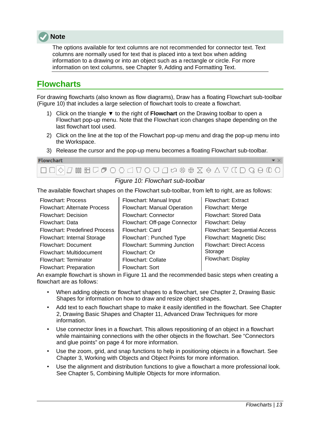

The options available for text columns are not recommended for connector text. Text columns are normally used for text that is placed into a text box when adding information to a drawing or into an object such as a rectangle or circle. For more information on text columns, see Chapter 9, Adding and Formatting Text.

## <span id="page-12-0"></span>**Flowcharts**

For drawing flowcharts (also known as flow diagrams), Draw has a floating Flowchart sub-toolbar (Figure [10](#page-12-1)) that includes a large selection of flowchart tools to create a flowchart.

- 1) Click on the triangle ▼ to the right of **Flowchart** on the Drawing toolbar to open a Flowchart pop-up menu. Note that the Flowchart icon changes shape depending on the last flowchart tool used.
- 2) Click on the line at the top of the Flowchart pop-up menu and drag the pop-up menu into the Workspace.
- 3) Release the cursor and the pop-up menu becomes a floating Flowchart sub-toolbar.



#### <span id="page-12-1"></span>*Figure 10: Flowchart sub-toolbar*

The available flowchart shapes on the Flowchart sub-toolbar, from left to right, are as follows:

Flowchart: Process Flowchart: Alternate Process Flowchart: Decision Flowchart: Data Flowchart: Predefined Process Flowchart: Internal Storage Flowchart: Document Flowchart: Multidocument Flowchart: Terminator Flowchart: Preparation

Flowchart: Manual Input Flowchart: Manual Operation Flowchart: Connector Flowchart: Off-page Connector Flowchart: Card Flowchart`: Punched Type Flowchart: Summing Junction Flowchart: Or Flowchart: Collate Flowchart: Sort

Flowchart: Extract Flowchart: Merge Flowchart: Stored Data Flowchart: Delay Flowchart: Sequential Access Flowchart: Magnetic Disc Flowchart: Direct Access Storage Flowchart: Display

An example flowchart is shown in Figure [11](#page-13-1) and the recommended basic steps when creating a flowchart are as follows:

- When adding objects or flowchart shapes to a flowchart, see Chapter 2, Drawing Basic Shapes for information on how to draw and resize object shapes.
- Add text to each flowchart shape to make it easily identified in the flowchart. See Chapter 2, Drawing Basic Shapes and Chapter 11, Advanced Draw Techniques for more information.
- Use connector lines in a flowchart. This allows repositioning of an object in a flowchart while maintaining connections with the other objects in the flowchart. See "[Connectors](#page-3-1)  [and glue points](#page-3-1)" on page [4](#page-3-1) for more information.
- Use the zoom, grid, and snap functions to help in positioning objects in a flowchart. See Chapter 3, Working with Objects and Object Points for more information.
- Use the alignment and distribution functions to give a flowchart a more professional look. See Chapter 5, Combining Multiple Objects for more information.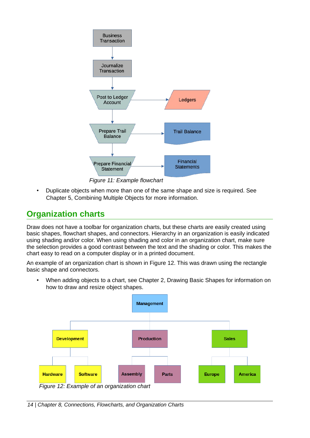

<span id="page-13-1"></span>*Figure 11: Example flowchart*

• Duplicate objects when more than one of the same shape and size is required. See Chapter 5, Combining Multiple Objects for more information.

## <span id="page-13-0"></span>**Organization charts**

Draw does not have a toolbar for organization charts, but these charts are easily created using basic shapes, flowchart shapes, and connectors. Hierarchy in an organization is easily indicated using shading and/or color. When using shading and color in an organization chart, make sure the selection provides a good contrast between the text and the shading or color. This makes the chart easy to read on a computer display or in a printed document.

An example of an organization chart is shown in Figure [12](#page-13-2). This was drawn using the rectangle basic shape and connectors.

• When adding objects to a chart, see Chapter 2, Drawing Basic Shapes for information on how to draw and resize object shapes.



<span id="page-13-2"></span>*Figure 12: Example of an organization chart*